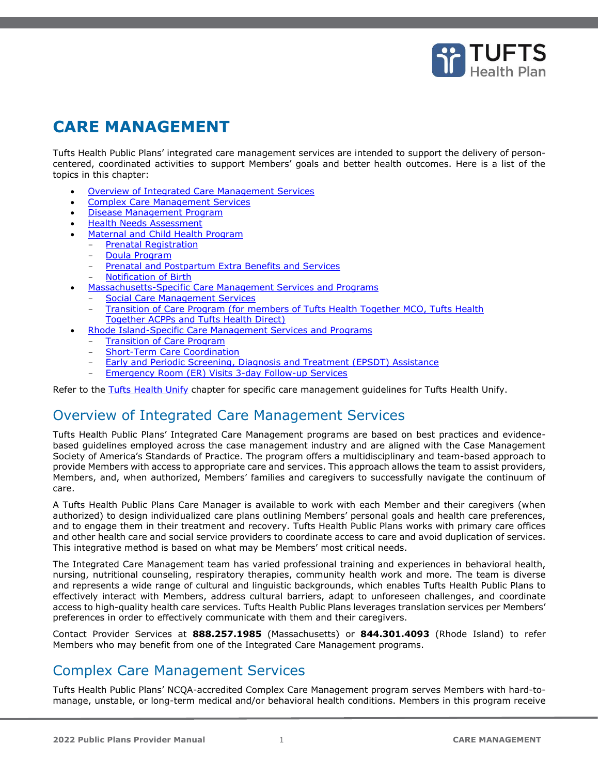

# **CARE MANAGEMENT**

Tufts Health Public Plans' integrated care management services are intended to support the delivery of personcentered, coordinated activities to support Members' goals and better health outcomes. Here is a list of the topics in this chapter:

- [Overview of Integrated Care Management Services](#page-0-0)
- **[Complex Care Management Services](#page-0-1)**
- [Disease Management Program](#page-2-0)
- **[Health Needs Assessment](#page-2-1)**
- [Maternal and Child Health Program](#page-3-0)
	- [Prenatal Registration](#page-3-1)
		- [Doula Program](#page-3-2)
		- [Prenatal and Postpartum Extra Benefits and Services](#page-4-0)
		- **[Notification of Birth](#page-4-1)**
	- [Massachusetts-Specific Care Management Services and Programs](#page-4-2)
	- [Social Care Management Services](#page-4-3)
	- [Transition of Care Program \(for members of Tufts Health Together MCO, Tufts Health](#page-5-0)  [Together ACPPs and Tufts Health Direct\)](#page-5-0)
- [Rhode Island-Specific Care Management Services and Programs](#page-6-0)
	- [Transition of Care Program](#page-6-1)
	- **[Short-Term Care Coordination](#page-6-2)**
	- [Early and Periodic Screening, Diagnosis and Treatment \(EPSDT\) Assistance](#page-7-0)
	- [Emergency Room \(ER\) Visits 3-day Follow-up Services](#page-7-1)

<span id="page-0-0"></span>Refer to the Tufts Health Unify chapter for specific care management guidelines for Tufts Health Unify.

## Overview of Integrated Care Management Services

Tufts Health Public Plans' Integrated Care Management programs are based on best practices and evidencebased guidelines employed across the case management industry and are aligned with the Case Management Society of America's Standards of Practice. The program offers a multidisciplinary and team-based approach to provide Members with access to appropriate care and services. This approach allows the team to assist providers, Members, and, when authorized, Members' families and caregivers to successfully navigate the continuum of care.

A Tufts Health Public Plans Care Manager is available to work with each Member and their caregivers (when authorized) to design individualized care plans outlining Members' personal goals and health care preferences, and to engage them in their treatment and recovery. Tufts Health Public Plans works with primary care offices and other health care and social service providers to coordinate access to care and avoid duplication of services. This integrative method is based on what may be Members' most critical needs.

The Integrated Care Management team has varied professional training and experiences in behavioral health, nursing, nutritional counseling, respiratory therapies, community health work and more. The team is diverse and represents a wide range of cultural and linguistic backgrounds, which enables Tufts Health Public Plans to effectively interact with Members, address cultural barriers, adapt to unforeseen challenges, and coordinate access to high-quality health care services. Tufts Health Public Plans leverages translation services per Members' preferences in order to effectively communicate with them and their caregivers.

Contact Provider Services at **888.257.1985** (Massachusetts) or **844.301.4093** (Rhode Island) to refer Members who may benefit from one of the Integrated Care Management programs.

# <span id="page-0-1"></span>Complex Care Management Services

Tufts Health Public Plans' NCQA-accredited Complex Care Management program serves Members with hard-tomanage, unstable, or long-term medical and/or behavioral health conditions. Members in this program receive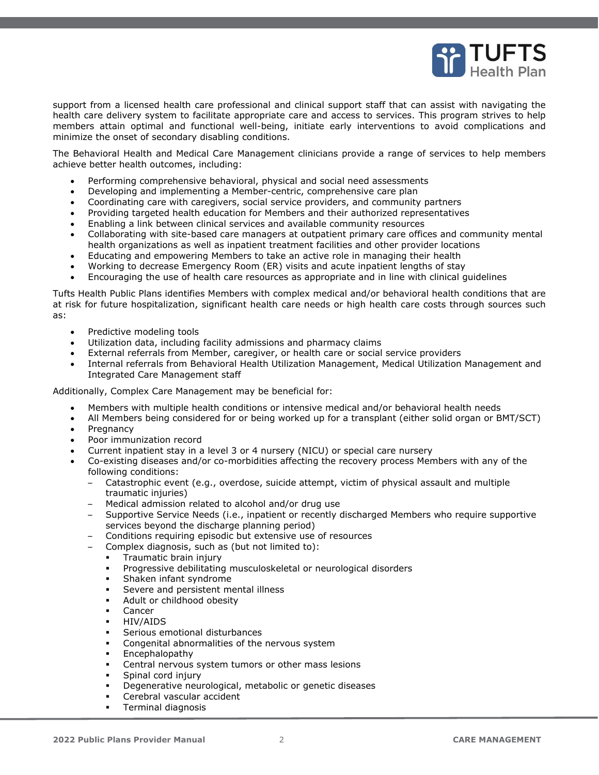

support from a licensed health care professional and clinical support staff that can assist with navigating the health care delivery system to facilitate appropriate care and access to services. This program strives to help members attain optimal and functional well-being, initiate early interventions to avoid complications and minimize the onset of secondary disabling conditions.

The Behavioral Health and Medical Care Management clinicians provide a range of services to help members achieve better health outcomes, including:

- Performing comprehensive behavioral, physical and social need assessments
- Developing and implementing a Member-centric, comprehensive care plan
- Coordinating care with caregivers, social service providers, and community partners
- Providing targeted health education for Members and their authorized representatives
- Enabling a link between clinical services and available community resources
- Collaborating with site-based care managers at outpatient primary care offices and community mental health organizations as well as inpatient treatment facilities and other provider locations
- Educating and empowering Members to take an active role in managing their health
- Working to decrease Emergency Room (ER) visits and acute inpatient lengths of stay
- Encouraging the use of health care resources as appropriate and in line with clinical guidelines

Tufts Health Public Plans identifies Members with complex medical and/or behavioral health conditions that are at risk for future hospitalization, significant health care needs or high health care costs through sources such as:

- Predictive modeling tools
- Utilization data, including facility admissions and pharmacy claims
- External referrals from Member, caregiver, or health care or social service providers
- Internal referrals from Behavioral Health Utilization Management, Medical Utilization Management and Integrated Care Management staff

Additionally, Complex Care Management may be beneficial for:

- Members with multiple health conditions or intensive medical and/or behavioral health needs
- All Members being considered for or being worked up for a transplant (either solid organ or BMT/SCT)
- **Pregnancy**
- Poor immunization record
- Current inpatient stay in a level 3 or 4 nursery (NICU) or special care nursery
- Co-existing diseases and/or co-morbidities affecting the recovery process Members with any of the following conditions:
	- Catastrophic event (e.g., overdose, suicide attempt, victim of physical assault and multiple traumatic injuries)
	- Medical admission related to alcohol and/or drug use
	- Supportive Service Needs (i.e., inpatient or recently discharged Members who require supportive services beyond the discharge planning period)
	- Conditions requiring episodic but extensive use of resources
		- Complex diagnosis, such as (but not limited to):
			- Traumatic brain injury
			- Progressive debilitating musculoskeletal or neurological disorders
			- Shaken infant syndrome
			- Severe and persistent mental illness
			- Adult or childhood obesity
			- Cancer
			- HIV/AIDS
			- Serious emotional disturbances
			- Congenital abnormalities of the nervous system
			- **Encephalopathy**
			- Central nervous system tumors or other mass lesions
			- Spinal cord injury
			- Degenerative neurological, metabolic or genetic diseases
			- Cerebral vascular accident
			- **Terminal diagnosis**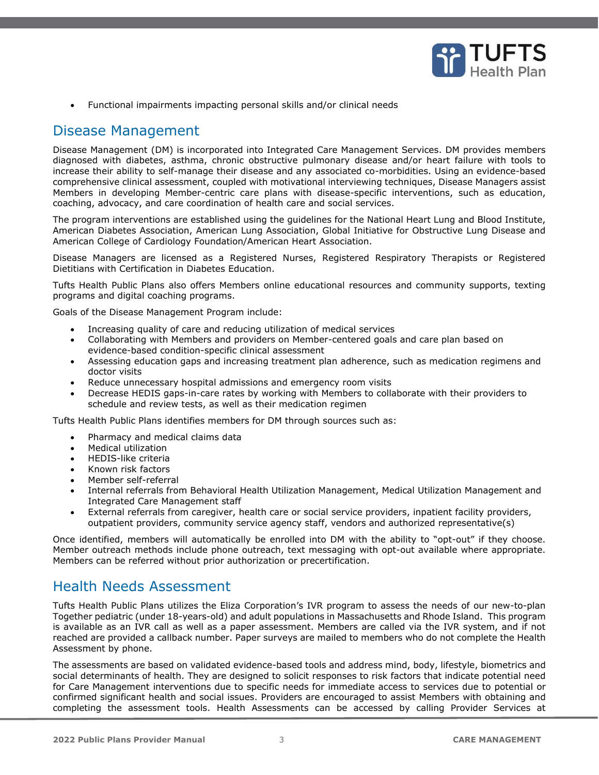

• Functional impairments impacting personal skills and/or clinical needs

### <span id="page-2-0"></span>Disease Management

Disease Management (DM) is incorporated into Integrated Care Management Services. DM provides members diagnosed with diabetes, asthma, chronic obstructive pulmonary disease and/or heart failure with tools to increase their ability to self-manage their disease and any associated co-morbidities. Using an evidence-based comprehensive clinical assessment, coupled with motivational interviewing techniques, Disease Managers assist Members in developing Member-centric care plans with disease-specific interventions, such as education, coaching, advocacy, and care coordination of health care and social services.

The program interventions are established using the guidelines for the National Heart Lung and Blood Institute, American Diabetes Association, American Lung Association, Global Initiative for Obstructive Lung Disease and American College of Cardiology Foundation/American Heart Association.

Disease Managers are licensed as a Registered Nurses, Registered Respiratory Therapists or Registered Dietitians with Certification in Diabetes Education.

Tufts Health Public Plans also offers Members online educational resources and community supports, texting programs and digital coaching programs.

Goals of the Disease Management Program include:

- Increasing quality of care and reducing utilization of medical services
- Collaborating with Members and providers on Member-centered goals and care plan based on evidence-based condition-specific clinical assessment
- Assessing education gaps and increasing treatment plan adherence, such as medication regimens and doctor visits
- Reduce unnecessary hospital admissions and emergency room visits
- Decrease HEDIS gaps-in-care rates by working with Members to collaborate with their providers to schedule and review tests, as well as their medication regimen

Tufts Health Public Plans identifies members for DM through sources such as:

- Pharmacy and medical claims data
- Medical utilization
- HEDIS-like criteria
- Known risk factors
- Member self-referral
- Internal referrals from Behavioral Health Utilization Management, Medical Utilization Management and Integrated Care Management staff
- External referrals from caregiver, health care or social service providers, inpatient facility providers, outpatient providers, community service agency staff, vendors and authorized representative(s)

Once identified, members will automatically be enrolled into DM with the ability to "opt-out" if they choose. Member outreach methods include phone outreach, text messaging with opt-out available where appropriate. Members can be referred without prior authorization or precertification.

## <span id="page-2-1"></span>Health Needs Assessment

Tufts Health Public Plans utilizes the Eliza Corporation's IVR program to assess the needs of our new-to-plan Together pediatric (under 18-years-old) and adult populations in Massachusetts and Rhode Island. This program is available as an IVR call as well as a paper assessment. Members are called via the IVR system, and if not reached are provided a callback number. Paper surveys are mailed to members who do not complete the Health Assessment by phone.

The assessments are based on validated evidence-based tools and address mind, body, lifestyle, biometrics and social determinants of health. They are designed to solicit responses to risk factors that indicate potential need for Care Management interventions due to specific needs for immediate access to services due to potential or confirmed significant health and social issues. Providers are encouraged to assist Members with obtaining and completing the assessment tools. Health Assessments can be accessed by calling Provider Services at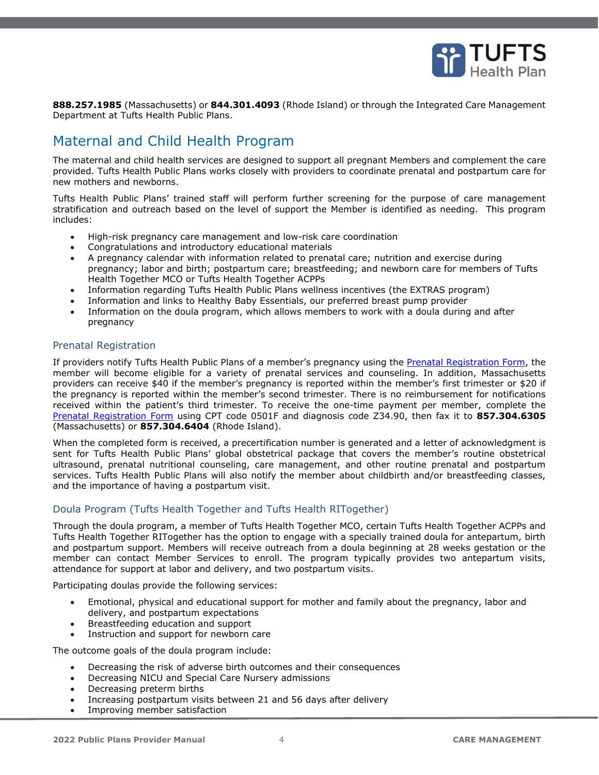

**888.257.1985** (Massachusetts) or **844.301.4093** (Rhode Island) or through the Integrated Care Management Department at Tufts Health Public Plans.

# <span id="page-3-0"></span>Maternal and Child Health Program

The maternal and child health services are designed to support all pregnant Members and complement the care provided. Tufts Health Public Plans works closely with providers to coordinate prenatal and postpartum care for new mothers and newborns.

Tufts Health Public Plans' trained staff will perform further screening for the purpose of care management stratification and outreach based on the level of support the Member is identified as needing. This program includes:

- High-risk pregnancy care management and low-risk care coordination
- Congratulations and introductory educational materials
- A pregnancy calendar with information related to prenatal care; nutrition and exercise during pregnancy; labor and birth; postpartum care; breastfeeding; and newborn care for members of Tufts Health Together MCO or Tufts Health Together ACPPs
- Information regarding Tufts Health Public Plans wellness incentives (the EXTRAS program)
- Information and links to Healthy Baby Essentials, our preferred breast pump provider
- Information on the doula program, which allows members to work with a doula during and after pregnancy

#### <span id="page-3-1"></span>Prenatal Registration

If providers notify Tufts Health Public Plans of a member's pregnancy using the [Prenatal Registration Form,](https://tuftshealthplan.com/documents/providers/forms/thpp_prenatal-registration-form) the member will become eligible for a variety of prenatal services and counseling. In addition, Massachusetts providers can receive \$40 if the member's pregnancy is reported within the member's first trimester or \$20 if the pregnancy is reported within the member's second trimester. There is no reimbursement for notifications received within the patient's third trimester. To receive the one-time payment per member, complete the [Prenatal Registration Form](https://tuftshealthplan.com/documents/providers/forms/thpp_prenatal-registration-form) using CPT code 0501F and diagnosis code Z34.90, then fax it to **857.304.6305** (Massachusetts) or **857.304.6404** (Rhode Island).

When the completed form is received, a precertification number is generated and a letter of acknowledgment is sent for Tufts Health Public Plans' global obstetrical package that covers the member's routine obstetrical ultrasound, prenatal nutritional counseling, care management, and other routine prenatal and postpartum services. Tufts Health Public Plans will also notify the member about childbirth and/or breastfeeding classes, and the importance of having a postpartum visit.

### <span id="page-3-2"></span>Doula Program (Tufts Health Together and Tufts Health RITogether)

Through the doula program, a member of Tufts Health Together MCO, certain Tufts Health Together ACPPs and Tufts Health Together RITogether has the option to engage with a specially trained doula for antepartum, birth and postpartum support. Members will receive outreach from a doula beginning at 28 weeks gestation or the member can contact Member Services to enroll. The program typically provides two antepartum visits, attendance for support at labor and delivery, and two postpartum visits.

Participating doulas provide the following services:

- Emotional, physical and educational support for mother and family about the pregnancy, labor and delivery, and postpartum expectations
- Breastfeeding education and support
- Instruction and support for newborn care

The outcome goals of the doula program include:

- Decreasing the risk of adverse birth outcomes and their consequences
- Decreasing NICU and Special Care Nursery admissions
- Decreasing preterm births
- Increasing postpartum visits between 21 and 56 days after delivery
- Improving member satisfaction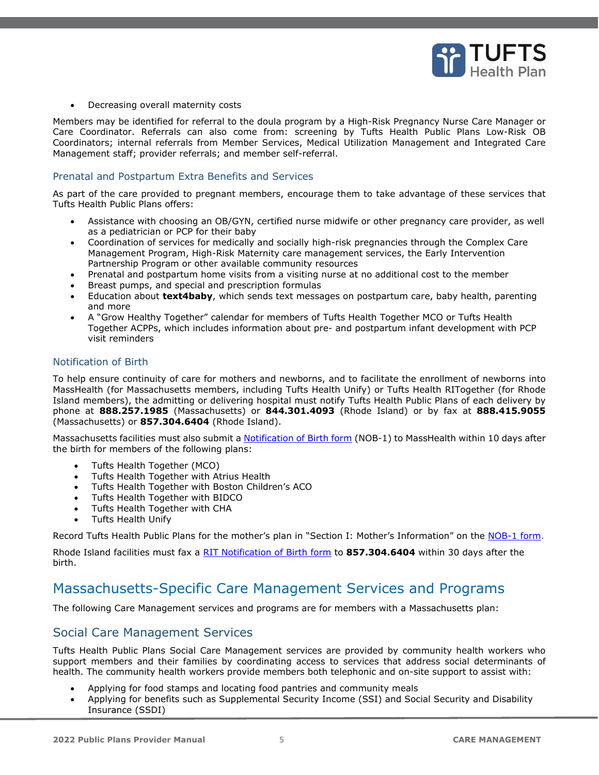

• Decreasing overall maternity costs

Members may be identified for referral to the doula program by a High-Risk Pregnancy Nurse Care Manager or Care Coordinator. Referrals can also come from: screening by Tufts Health Public Plans Low-Risk OB Coordinators; internal referrals from Member Services, Medical Utilization Management and Integrated Care Management staff; provider referrals; and member self-referral.

#### <span id="page-4-0"></span>Prenatal and Postpartum Extra Benefits and Services

As part of the care provided to pregnant members, encourage them to take advantage of these services that Tufts Health Public Plans offers:

- Assistance with choosing an OB/GYN, certified nurse midwife or other pregnancy care provider, as well as a pediatrician or PCP for their baby
- Coordination of services for medically and socially high-risk pregnancies through the Complex Care Management Program, High-Risk Maternity care management services, the Early Intervention Partnership Program or other available community resources
- Prenatal and postpartum home visits from a visiting nurse at no additional cost to the member
- Breast pumps, and special and prescription formulas
- Education about **text4baby**, which sends text messages on postpartum care, baby health, parenting and more
- A "Grow Healthy Together" calendar for members of Tufts Health Together MCO or Tufts Health Together ACPPs, which includes information about pre- and postpartum infant development with PCP visit reminders

#### <span id="page-4-1"></span>Notification of Birth

To help ensure continuity of care for mothers and newborns, and to facilitate the enrollment of newborns into MassHealth (for Massachusetts members, including Tufts Health Unify) or Tufts Health RITogether (for Rhode Island members), the admitting or delivering hospital must notify Tufts Health Public Plans of each delivery by phone at **888.257.1985** (Massachusetts) or **844.301.4093** (Rhode Island) or by fax at **888.415.9055** (Massachusetts) or **857.304.6404** (Rhode Island).

Massachusetts facilities must also submit a [Notification of Birth form](https://tuftshealthplan.com/documents/providers/forms/masshealth-notification-of-birth) (NOB-1) to MassHealth within 10 days after the birth for members of the following plans:

- Tufts Health Together (MCO)
- Tufts Health Together with Atrius Health
- Tufts Health Together with Boston Children's ACO
- Tufts Health Together with BIDCO
- Tufts Health Together with CHA
- Tufts Health Unify

Record Tufts Health Public Plans for the mother's plan in "Section I: Mother's Information" on the [NOB-1 form.](https://tuftshealthplan.com/documents/providers/forms/masshealth-notification-of-birth)

Rhode Island facilities must fax a [RIT Notification of Birth form](https://tuftshealthplan.com/documents/providers/forms/rit-notification-of-birth) to **857.304.6404** within 30 days after the birth.

## <span id="page-4-2"></span>Massachusetts-Specific Care Management Services and Programs

The following Care Management services and programs are for members with a Massachusetts plan:

### <span id="page-4-3"></span>Social Care Management Services

Tufts Health Public Plans Social Care Management services are provided by community health workers who support members and their families by coordinating access to services that address social determinants of health. The community health workers provide members both telephonic and on-site support to assist with:

- Applying for food stamps and locating food pantries and community meals
- Applying for benefits such as Supplemental Security Income (SSI) and Social Security and Disability Insurance (SSDI)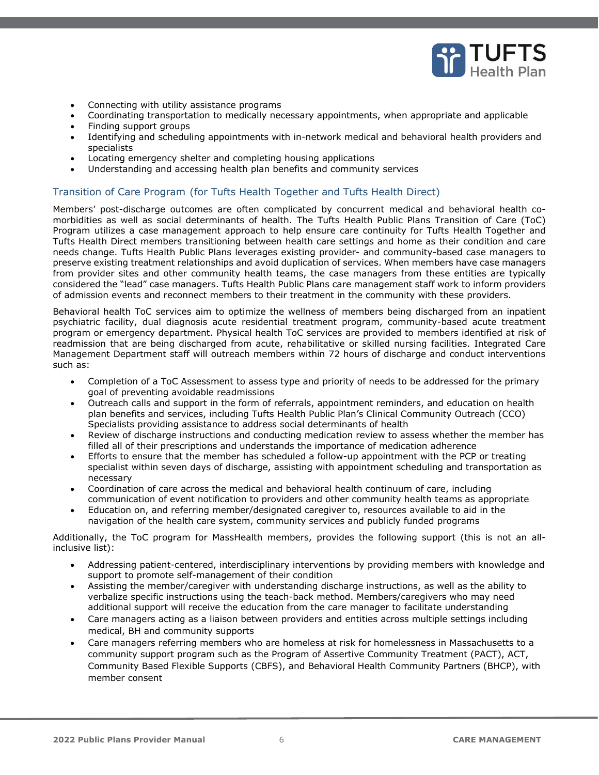

- Connecting with utility assistance programs
- Coordinating transportation to medically necessary appointments, when appropriate and applicable
- Finding support groups
- Identifying and scheduling appointments with in-network medical and behavioral health providers and specialists
- Locating emergency shelter and completing housing applications
- Understanding and accessing health plan benefits and community services

#### <span id="page-5-0"></span>Transition of Care Program (for Tufts Health Together and Tufts Health Direct)

Members' post-discharge outcomes are often complicated by concurrent medical and behavioral health comorbidities as well as social determinants of health. The Tufts Health Public Plans Transition of Care (ToC) Program utilizes a case management approach to help ensure care continuity for Tufts Health Together and Tufts Health Direct members transitioning between health care settings and home as their condition and care needs change. Tufts Health Public Plans leverages existing provider- and community-based case managers to preserve existing treatment relationships and avoid duplication of services. When members have case managers from provider sites and other community health teams, the case managers from these entities are typically considered the "lead" case managers. Tufts Health Public Plans care management staff work to inform providers of admission events and reconnect members to their treatment in the community with these providers.

Behavioral health ToC services aim to optimize the wellness of members being discharged from an inpatient psychiatric facility, dual diagnosis acute residential treatment program, community-based acute treatment program or emergency department. Physical health ToC services are provided to members identified at risk of readmission that are being discharged from acute, rehabilitative or skilled nursing facilities. Integrated Care Management Department staff will outreach members within 72 hours of discharge and conduct interventions such as:

- Completion of a ToC Assessment to assess type and priority of needs to be addressed for the primary goal of preventing avoidable readmissions
- Outreach calls and support in the form of referrals, appointment reminders, and education on health plan benefits and services, including Tufts Health Public Plan's Clinical Community Outreach (CCO) Specialists providing assistance to address social determinants of health
- Review of discharge instructions and conducting medication review to assess whether the member has filled all of their prescriptions and understands the importance of medication adherence
- Efforts to ensure that the member has scheduled a follow-up appointment with the PCP or treating specialist within seven days of discharge, assisting with appointment scheduling and transportation as necessary
- Coordination of care across the medical and behavioral health continuum of care, including communication of event notification to providers and other community health teams as appropriate
- Education on, and referring member/designated caregiver to, resources available to aid in the navigation of the health care system, community services and publicly funded programs

Additionally, the ToC program for MassHealth members, provides the following support (this is not an allinclusive list):

- Addressing patient-centered, interdisciplinary interventions by providing members with knowledge and support to promote self-management of their condition
- Assisting the member/caregiver with understanding discharge instructions, as well as the ability to verbalize specific instructions using the teach-back method. Members/caregivers who may need additional support will receive the education from the care manager to facilitate understanding
- Care managers acting as a liaison between providers and entities across multiple settings including medical, BH and community supports
- Care managers referring members who are homeless at risk for homelessness in Massachusetts to a community support program such as the Program of Assertive Community Treatment (PACT), ACT, Community Based Flexible Supports (CBFS), and Behavioral Health Community Partners (BHCP), with member consent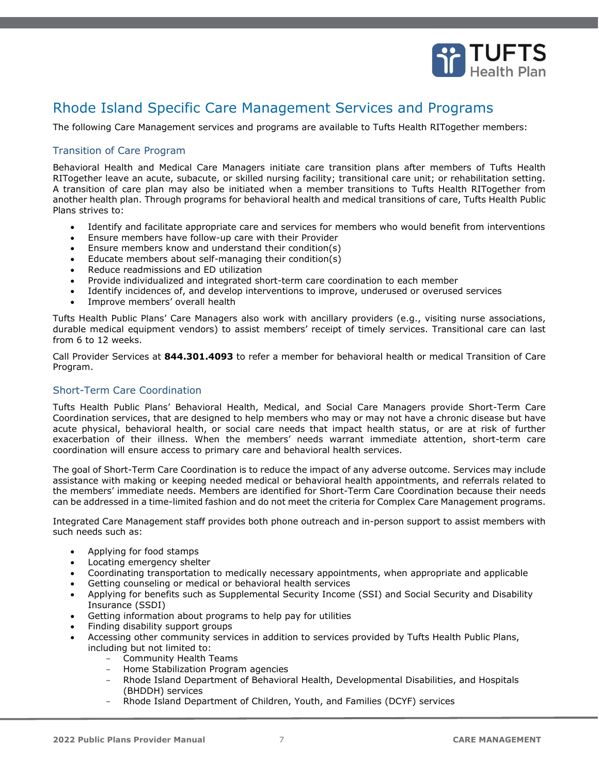

# <span id="page-6-0"></span>Rhode Island Specific Care Management Services and Programs

The following Care Management services and programs are available to Tufts Health RITogether members:

### <span id="page-6-1"></span>Transition of Care Program

Behavioral Health and Medical Care Managers initiate care transition plans after members of Tufts Health RITogether leave an acute, subacute, or skilled nursing facility; transitional care unit; or rehabilitation setting. A transition of care plan may also be initiated when a member transitions to Tufts Health RITogether from another health plan. Through programs for behavioral health and medical transitions of care, Tufts Health Public Plans strives to:

- Identify and facilitate appropriate care and services for members who would benefit from interventions
- Ensure members have follow-up care with their Provider
- Ensure members know and understand their condition(s)
- Educate members about self-managing their condition(s)
- Reduce readmissions and ED utilization
- Provide individualized and integrated short-term care coordination to each member
- Identify incidences of, and develop interventions to improve, underused or overused services
- Improve members' overall health

Tufts Health Public Plans' Care Managers also work with ancillary providers (e.g., visiting nurse associations, durable medical equipment vendors) to assist members' receipt of timely services. Transitional care can last from 6 to 12 weeks.

Call Provider Services at **844.301.4093** to refer a member for behavioral health or medical Transition of Care Program.

### <span id="page-6-2"></span>Short-Term Care Coordination

Tufts Health Public Plans' Behavioral Health, Medical, and Social Care Managers provide Short-Term Care Coordination services, that are designed to help members who may or may not have a chronic disease but have acute physical, behavioral health, or social care needs that impact health status, or are at risk of further exacerbation of their illness. When the members' needs warrant immediate attention, short-term care coordination will ensure access to primary care and behavioral health services.

The goal of Short-Term Care Coordination is to reduce the impact of any adverse outcome. Services may include assistance with making or keeping needed medical or behavioral health appointments, and referrals related to the members' immediate needs. Members are identified for Short-Term Care Coordination because their needs can be addressed in a time-limited fashion and do not meet the criteria for Complex Care Management programs.

Integrated Care Management staff provides both phone outreach and in-person support to assist members with such needs such as:

- Applying for food stamps
- Locating emergency shelter
- Coordinating transportation to medically necessary appointments, when appropriate and applicable
- Getting counseling or medical or behavioral health services
- Applying for benefits such as Supplemental Security Income (SSI) and Social Security and Disability Insurance (SSDI)
- Getting information about programs to help pay for utilities
- Finding disability support groups
- Accessing other community services in addition to services provided by Tufts Health Public Plans, including but not limited to:
	- Community Health Teams
	- Home Stabilization Program agencies
	- Rhode Island Department of Behavioral Health, Developmental Disabilities, and Hospitals (BHDDH) services
	- Rhode Island Department of Children, Youth, and Families (DCYF) services